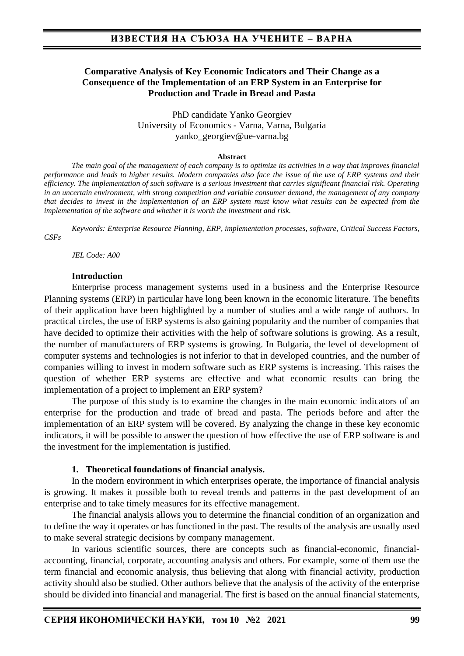### **Comparative Analysis of Key Economic Indicators and Their Change as a Consequence of the Implementation of an ERP System in an Enterprise for Production and Trade in Bread and Pasta**

PhD candidate Yanko Georgiev University of Economics - Varna, Varna, Bulgaria yanko\_georgiev@ue-varna.bg

#### **Abstract**

*The main goal of the management of each company is to optimize its activities in a way that improves financial performance and leads to higher results. Modern companies also face the issue of the use of ERP systems and their efficiency. The implementation of such software is a serious investment that carries significant financial risk. Operating in an uncertain environment, with strong competition and variable consumer demand, the management of any company that decides to invest in the implementation of an ERP system must know what results can be expected from the implementation of the software and whether it is worth the investment and risk.*

*Keywords: Enterprise Resource Planning, ERP, implementation processes, software, Critical Success Factors, CSFs*

*JEL Code: A00* 

#### **Introduction**

Enterprise process management systems used in a business and the Enterprise Resource Planning systems (ERP) in particular have long been known in the economic literature. The benefits of their application have been highlighted by a number of studies and a wide range of authors. In practical circles, the use of ERP systems is also gaining popularity and the number of companies that have decided to optimize their activities with the help of software solutions is growing. As a result, the number of manufacturers of ERP systems is growing. In Bulgaria, the level of development of computer systems and technologies is not inferior to that in developed countries, and the number of companies willing to invest in modern software such as ERP systems is increasing. This raises the question of whether ERP systems are effective and what economic results can bring the implementation of a project to implement an ERP system?

The purpose of this study is to examine the changes in the main economic indicators of an enterprise for the production and trade of bread and pasta. The periods before and after the implementation of an ERP system will be covered. By analyzing the change in these key economic indicators, it will be possible to answer the question of how effective the use of ERP software is and the investment for the implementation is justified.

#### **1. Theoretical foundations of financial analysis.**

In the modern environment in which enterprises operate, the importance of financial analysis is growing. It makes it possible both to reveal trends and patterns in the past development of an enterprise and to take timely measures for its effective management.

The financial analysis allows you to determine the financial condition of an organization and to define the way it operates or has functioned in the past. The results of the analysis are usually used to make several strategic decisions by company management.

In various scientific sources, there are concepts such as financial-economic, financialaccounting, financial, corporate, accounting analysis and others. For example, some of them use the term financial and economic analysis, thus believing that along with financial activity, production activity should also be studied. Other authors believe that the analysis of the activity of the enterprise should be divided into financial and managerial. The first is based on the annual financial statements,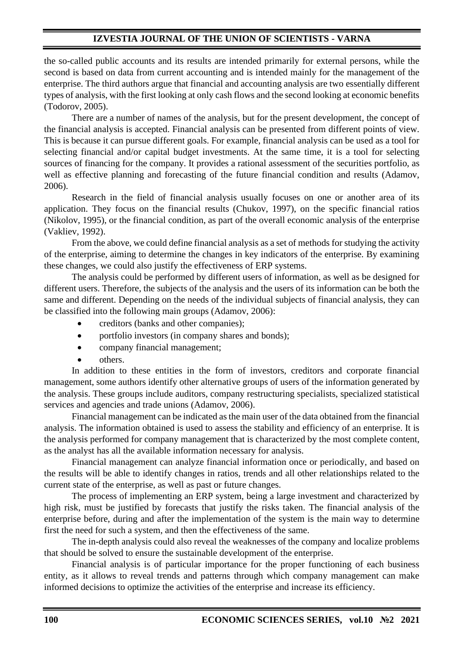# **IZVESTIA JOURNAL OF THE UNION OF SCIENTISTS - VARNA**

the so-called public accounts and its results are intended primarily for external persons, while the second is based on data from current accounting and is intended mainly for the management of the enterprise. The third authors argue that financial and accounting analysis are two essentially different types of analysis, with the first looking at only cash flows and the second looking at economic benefits (Todorov, 2005).

There are a number of names of the analysis, but for the present development, the concept of the financial analysis is accepted. Financial analysis can be presented from different points of view. This is because it can pursue different goals. For example, financial analysis can be used as a tool for selecting financial and/or capital budget investments. At the same time, it is a tool for selecting sources of financing for the company. It provides a rational assessment of the securities portfolio, as well as effective planning and forecasting of the future financial condition and results (Adamov, 2006).

Research in the field of financial analysis usually focuses on one or another area of its application. They focus on the financial results (Chukov, 1997), on the specific financial ratios (Nikolov, 1995), or the financial condition, as part of the overall economic analysis of the enterprise (Vakliev, 1992).

From the above, we could define financial analysis as a set of methods for studying the activity of the enterprise, aiming to determine the changes in key indicators of the enterprise. By examining these changes, we could also justify the effectiveness of ERP systems.

The analysis could be performed by different users of information, as well as be designed for different users. Therefore, the subjects of the analysis and the users of its information can be both the same and different. Depending on the needs of the individual subjects of financial analysis, they can be classified into the following main groups (Adamov, 2006):

- creditors (banks and other companies);
- portfolio investors (in company shares and bonds);
- company financial management;
- others.

In addition to these entities in the form of investors, creditors and corporate financial management, some authors identify other alternative groups of users of the information generated by the analysis. These groups include auditors, company restructuring specialists, specialized statistical services and agencies and trade unions (Adamov, 2006).

Financial management can be indicated as the main user of the data obtained from the financial analysis. The information obtained is used to assess the stability and efficiency of an enterprise. It is the analysis performed for company management that is characterized by the most complete content, as the analyst has all the available information necessary for analysis.

Financial management can analyze financial information once or periodically, and based on the results will be able to identify changes in ratios, trends and all other relationships related to the current state of the enterprise, as well as past or future changes.

The process of implementing an ERP system, being a large investment and characterized by high risk, must be justified by forecasts that justify the risks taken. The financial analysis of the enterprise before, during and after the implementation of the system is the main way to determine first the need for such a system, and then the effectiveness of the same.

The in-depth analysis could also reveal the weaknesses of the company and localize problems that should be solved to ensure the sustainable development of the enterprise.

Financial analysis is of particular importance for the proper functioning of each business entity, as it allows to reveal trends and patterns through which company management can make informed decisions to optimize the activities of the enterprise and increase its efficiency.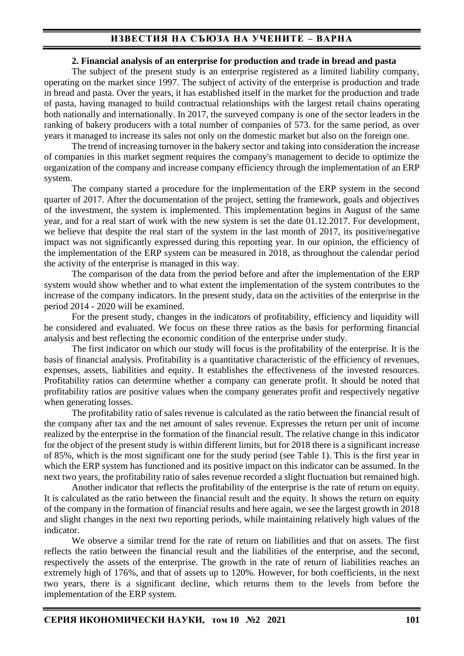# **ИЗВЕСТИЯ НА СЪЮЗА НА УЧЕНИТЕ – ВАРНА**

#### **2. Financial analysis of an enterprise for production and trade in bread and pasta**

The subject of the present study is an enterprise registered as a limited liability company, operating on the market since 1997. The subject of activity of the enterprise is production and trade in bread and pasta. Over the years, it has established itself in the market for the production and trade of pasta, having managed to build contractual relationships with the largest retail chains operating both nationally and internationally. In 2017, the surveyed company is one of the sector leaders in the ranking of bakery producers with a total number of companies of 573. for the same period, as over years it managed to increase its sales not only on the domestic market but also on the foreign one.

The trend of increasing turnover in the bakery sector and taking into consideration the increase of companies in this market segment requires the company's management to decide to optimize the organization of the company and increase company efficiency through the implementation of an ERP system.

The company started a procedure for the implementation of the ERP system in the second quarter of 2017. After the documentation of the project, setting the framework, goals and objectives of the investment, the system is implemented. This implementation begins in August of the same year, and for a real start of work with the new system is set the date 01.12.2017. For development, we believe that despite the real start of the system in the last month of 2017, its positive/negative impact was not significantly expressed during this reporting year. In our opinion, the efficiency of the implementation of the ERP system can be measured in 2018, as throughout the calendar period the activity of the enterprise is managed in this way.

The comparison of the data from the period before and after the implementation of the ERP system would show whether and to what extent the implementation of the system contributes to the increase of the company indicators. In the present study, data on the activities of the enterprise in the period 2014 - 2020 will be examined.

For the present study, changes in the indicators of profitability, efficiency and liquidity will be considered and evaluated. We focus on these three ratios as the basis for performing financial analysis and best reflecting the economic condition of the enterprise under study.

The first indicator on which our study will focus is the profitability of the enterprise. It is the basis of financial analysis. Profitability is a quantitative characteristic of the efficiency of revenues, expenses, assets, liabilities and equity. It establishes the effectiveness of the invested resources. Profitability ratios can determine whether a company can generate profit. It should be noted that profitability ratios are positive values when the company generates profit and respectively negative when generating losses.

The profitability ratio of sales revenue is calculated as the ratio between the financial result of the company after tax and the net amount of sales revenue. Expresses the return per unit of income realized by the enterprise in the formation of the financial result. The relative change in this indicator for the object of the present study is within different limits, but for 2018 there is a significant increase of 85%, which is the most significant one for the study period (see Table 1). This is the first year in which the ERP system has functioned and its positive impact on this indicator can be assumed. In the next two years, the profitability ratio of sales revenue recorded a slight fluctuation but remained high.

Another indicator that reflects the profitability of the enterprise is the rate of return on equity. It is calculated as the ratio between the financial result and the equity. It shows the return on equity of the company in the formation of financial results and here again, we see the largest growth in 2018 and slight changes in the next two reporting periods, while maintaining relatively high values of the indicator.

We observe a similar trend for the rate of return on liabilities and that on assets. The first reflects the ratio between the financial result and the liabilities of the enterprise, and the second, respectively the assets of the enterprise. The growth in the rate of return of liabilities reaches an extremely high of 176%, and that of assets up to 120%. However, for both coefficients, in the next two years, there is a significant decline, which returns them to the levels from before the implementation of the ERP system.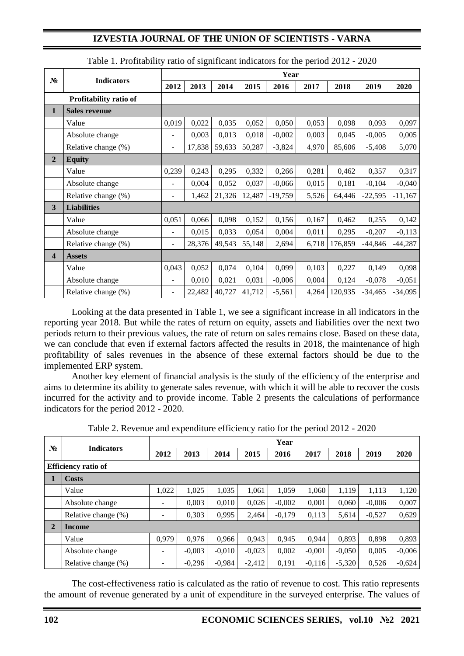## **IZVESTIA JOURNAL OF THE UNION OF SCIENTISTS - VARNA**

| $N_2$          | <b>Indicators</b>      | Year                     |        |        |        |           |       |         |           |           |  |
|----------------|------------------------|--------------------------|--------|--------|--------|-----------|-------|---------|-----------|-----------|--|
|                |                        | 2012                     | 2013   | 2014   | 2015   | 2016      | 2017  | 2018    | 2019      | 2020      |  |
|                | Profitability ratio of |                          |        |        |        |           |       |         |           |           |  |
| 1              | <b>Sales revenue</b>   |                          |        |        |        |           |       |         |           |           |  |
|                | Value                  | 0,019                    | 0,022  | 0,035  | 0,052  | 0,050     | 0,053 | 0,098   | 0,093     | 0,097     |  |
|                | Absolute change        | $\overline{\phantom{a}}$ | 0,003  | 0,013  | 0,018  | $-0,002$  | 0,003 | 0,045   | $-0,005$  | 0,005     |  |
|                | Relative change (%)    | $\overline{\phantom{a}}$ | 17,838 | 59,633 | 50,287 | $-3,824$  | 4,970 | 85,606  | $-5,408$  | 5,070     |  |
| $\overline{2}$ | <b>Equity</b>          |                          |        |        |        |           |       |         |           |           |  |
|                | Value                  | 0,239                    | 0,243  | 0,295  | 0,332  | 0,266     | 0,281 | 0,462   | 0,357     | 0,317     |  |
|                | Absolute change        | ٠                        | 0,004  | 0,052  | 0,037  | $-0,066$  | 0,015 | 0,181   | $-0,104$  | $-0,040$  |  |
|                | Relative change (%)    | ٠                        | 1,462  | 21,326 | 12,487 | $-19,759$ | 5,526 | 64,446  | $-22,595$ | $-11,167$ |  |
| 3              | <b>Liabilities</b>     |                          |        |        |        |           |       |         |           |           |  |
|                | Value                  | 0,051                    | 0,066  | 0,098  | 0,152  | 0,156     | 0,167 | 0,462   | 0,255     | 0,142     |  |
|                | Absolute change        |                          | 0,015  | 0,033  | 0,054  | 0,004     | 0,011 | 0,295   | $-0,207$  | $-0,113$  |  |
|                | Relative change (%)    | $\blacksquare$           | 28,376 | 49,543 | 55,148 | 2,694     | 6,718 | 176,859 | $-44,846$ | $-44,287$ |  |
| 4              | <b>Assets</b>          |                          |        |        |        |           |       |         |           |           |  |
|                | Value                  | 0,043                    | 0,052  | 0,074  | 0,104  | 0,099     | 0,103 | 0,227   | 0,149     | 0,098     |  |
|                | Absolute change        | $\blacksquare$           | 0,010  | 0,021  | 0,031  | $-0,006$  | 0,004 | 0,124   | $-0,078$  | $-0,051$  |  |
|                | Relative change (%)    | $\overline{\phantom{a}}$ | 22,482 | 40,727 | 41,712 | $-5,561$  | 4,264 | 120,935 | $-34,465$ | $-34,095$ |  |

Table 1. Profitability ratio of significant indicators for the period 2012 - 2020

Looking at the data presented in Table 1, we see a significant increase in all indicators in the reporting year 2018. But while the rates of return on equity, assets and liabilities over the next two periods return to their previous values, the rate of return on sales remains close. Based on these data, we can conclude that even if external factors affected the results in 2018, the maintenance of high profitability of sales revenues in the absence of these external factors should be due to the implemented ERP system.

Another key element of financial analysis is the study of the efficiency of the enterprise and aims to determine its ability to generate sales revenue, with which it will be able to recover the costs incurred for the activity and to provide income. Table 2 presents the calculations of performance indicators for the period 2012 - 2020.

| $N_2$          | <b>Indicators</b>          | Year  |          |          |          |          |          |          |          |          |  |
|----------------|----------------------------|-------|----------|----------|----------|----------|----------|----------|----------|----------|--|
|                |                            | 2012  | 2013     | 2014     | 2015     | 2016     | 2017     | 2018     | 2019     | 2020     |  |
|                | <b>Efficiency ratio of</b> |       |          |          |          |          |          |          |          |          |  |
|                | Costs                      |       |          |          |          |          |          |          |          |          |  |
|                | Value                      | 1,022 | 1.025    | 1.035    | 1.061    | 1.059    | 1.060    | 1,119    | 1,113    | 1,120    |  |
|                | Absolute change            |       | 0.003    | 0.010    | 0,026    | $-0,002$ | 0,001    | 0.060    | $-0,006$ | 0,007    |  |
|                | Relative change (%)        |       | 0,303    | 0,995    | 2,464    | $-0,179$ | 0,113    | 5,614    | $-0,527$ | 0,629    |  |
| $\overline{2}$ | <b>Income</b>              |       |          |          |          |          |          |          |          |          |  |
|                | Value                      | 0,979 | 0,976    | 0,966    | 0,943    | 0,945    | 0,944    | 0,893    | 0,898    | 0,893    |  |
|                | Absolute change            | -     | $-0.003$ | $-0.010$ | $-0.023$ | 0,002    | $-0,001$ | $-0.050$ | 0.005    | $-0,006$ |  |
|                | Relative change (%)        |       | $-0,296$ | $-0,984$ | $-2.412$ | 0,191    | $-0,116$ | $-5,320$ | 0,526    | $-0,624$ |  |

Table 2. Revenue and expenditure efficiency ratio for the period 2012 - 2020

The cost-effectiveness ratio is calculated as the ratio of revenue to cost. This ratio represents the amount of revenue generated by a unit of expenditure in the surveyed enterprise. The values of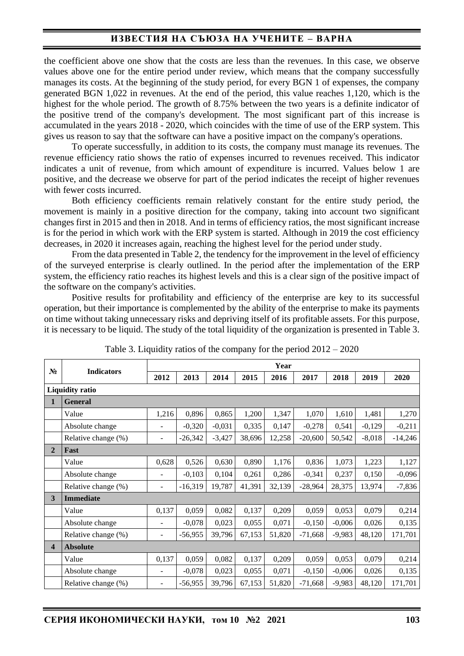# **ИЗВЕСТИЯ НА СЪЮЗА НА УЧЕНИТЕ – ВАРНА**

the coefficient above one show that the costs are less than the revenues. In this case, we observe values above one for the entire period under review, which means that the company successfully manages its costs. At the beginning of the study period, for every BGN 1 of expenses, the company generated BGN 1,022 in revenues. At the end of the period, this value reaches 1,120, which is the highest for the whole period. The growth of 8.75% between the two years is a definite indicator of the positive trend of the company's development. The most significant part of this increase is accumulated in the years 2018 - 2020, which coincides with the time of use of the ERP system. This gives us reason to say that the software can have a positive impact on the company's operations.

To operate successfully, in addition to its costs, the company must manage its revenues. The revenue efficiency ratio shows the ratio of expenses incurred to revenues received. This indicator indicates a unit of revenue, from which amount of expenditure is incurred. Values below 1 are positive, and the decrease we observe for part of the period indicates the receipt of higher revenues with fewer costs incurred.

Both efficiency coefficients remain relatively constant for the entire study period, the movement is mainly in a positive direction for the company, taking into account two significant changes first in 2015 and then in 2018. And in terms of efficiency ratios, the most significant increase is for the period in which work with the ERP system is started. Although in 2019 the cost efficiency decreases, in 2020 it increases again, reaching the highest level for the period under study.

From the data presented in Table 2, the tendency for the improvement in the level of efficiency of the surveyed enterprise is clearly outlined. In the period after the implementation of the ERP system, the efficiency ratio reaches its highest levels and this is a clear sign of the positive impact of the software on the company's activities.

Positive results for profitability and efficiency of the enterprise are key to its successful operation, but their importance is complemented by the ability of the enterprise to make its payments on time without taking unnecessary risks and depriving itself of its profitable assets. For this purpose, it is necessary to be liquid. The study of the total liquidity of the organization is presented in Table 3.

| $N_2$                   | <b>Indicators</b>      | Year                     |           |          |        |        |           |          |          |           |  |
|-------------------------|------------------------|--------------------------|-----------|----------|--------|--------|-----------|----------|----------|-----------|--|
|                         |                        | 2012                     | 2013      | 2014     | 2015   | 2016   | 2017      | 2018     | 2019     | 2020      |  |
|                         | <b>Liquidity ratio</b> |                          |           |          |        |        |           |          |          |           |  |
| 1                       | <b>General</b>         |                          |           |          |        |        |           |          |          |           |  |
|                         | Value                  | 1,216                    | 0,896     | 0,865    | 1,200  | 1,347  | 1,070     | 1,610    | 1,481    | 1,270     |  |
|                         | Absolute change        | $\overline{\phantom{m}}$ | $-0,320$  | $-0,031$ | 0,335  | 0,147  | $-0,278$  | 0,541    | $-0,129$ | $-0,211$  |  |
|                         | Relative change (%)    | $\overline{\phantom{m}}$ | $-26,342$ | $-3,427$ | 38,696 | 12,258 | $-20,600$ | 50,542   | $-8,018$ | $-14,246$ |  |
| $\overline{2}$          | Fast                   |                          |           |          |        |        |           |          |          |           |  |
|                         | Value                  | 0,628                    | 0,526     | 0,630    | 0,890  | 1,176  | 0,836     | 1,073    | 1,223    | 1,127     |  |
|                         | Absolute change        | $\overline{\phantom{m}}$ | $-0,103$  | 0,104    | 0,261  | 0,286  | $-0,341$  | 0,237    | 0,150    | $-0,096$  |  |
|                         | Relative change (%)    | $\overline{a}$           | $-16,319$ | 19,787   | 41,391 | 32,139 | $-28,964$ | 28,375   | 13,974   | $-7,836$  |  |
| 3                       | <b>Immediate</b>       |                          |           |          |        |        |           |          |          |           |  |
|                         | Value                  | 0,137                    | 0,059     | 0,082    | 0,137  | 0,209  | 0,059     | 0,053    | 0,079    | 0,214     |  |
|                         | Absolute change        | $\overline{\phantom{a}}$ | $-0,078$  | 0,023    | 0,055  | 0,071  | $-0,150$  | $-0,006$ | 0,026    | 0,135     |  |
|                         | Relative change (%)    | ÷,                       | $-56,955$ | 39,796   | 67,153 | 51,820 | $-71,668$ | $-9,983$ | 48,120   | 171,701   |  |
| $\overline{\mathbf{4}}$ | <b>Absolute</b>        |                          |           |          |        |        |           |          |          |           |  |
|                         | Value                  | 0,137                    | 0,059     | 0,082    | 0,137  | 0,209  | 0,059     | 0,053    | 0,079    | 0,214     |  |
|                         | Absolute change        | $\overline{\phantom{a}}$ | $-0,078$  | 0,023    | 0,055  | 0,071  | $-0,150$  | $-0,006$ | 0,026    | 0,135     |  |
|                         | Relative change (%)    | $\overline{\phantom{a}}$ | $-56,955$ | 39,796   | 67,153 | 51,820 | $-71,668$ | $-9,983$ | 48,120   | 171,701   |  |

Table 3. Liquidity ratios of the company for the period  $2012 - 2020$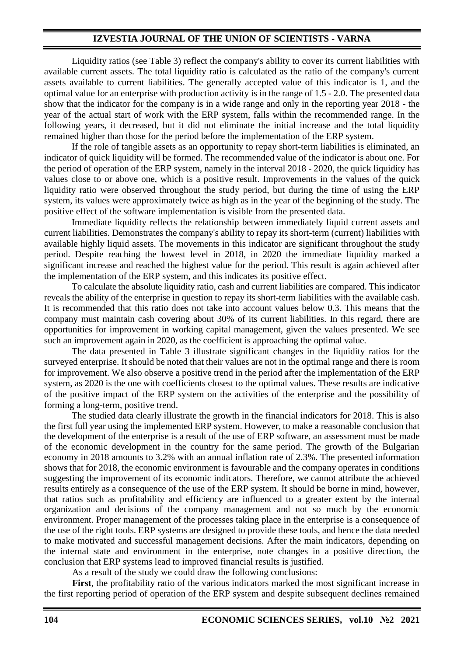## **IZVESTIA JOURNAL OF THE UNION OF SCIENTISTS - VARNA**

Liquidity ratios (see Table 3) reflect the company's ability to cover its current liabilities with available current assets. The total liquidity ratio is calculated as the ratio of the company's current assets available to current liabilities. The generally accepted value of this indicator is 1, and the optimal value for an enterprise with production activity is in the range of 1.5 - 2.0. The presented data show that the indicator for the company is in a wide range and only in the reporting year 2018 - the year of the actual start of work with the ERP system, falls within the recommended range. In the following years, it decreased, but it did not eliminate the initial increase and the total liquidity remained higher than those for the period before the implementation of the ERP system.

If the role of tangible assets as an opportunity to repay short-term liabilities is eliminated, an indicator of quick liquidity will be formed. The recommended value of the indicator is about one. For the period of operation of the ERP system, namely in the interval 2018 - 2020, the quick liquidity has values close to or above one, which is a positive result. Improvements in the values of the quick liquidity ratio were observed throughout the study period, but during the time of using the ERP system, its values were approximately twice as high as in the year of the beginning of the study. The positive effect of the software implementation is visible from the presented data.

Immediate liquidity reflects the relationship between immediately liquid current assets and current liabilities. Demonstrates the company's ability to repay its short-term (current) liabilities with available highly liquid assets. The movements in this indicator are significant throughout the study period. Despite reaching the lowest level in 2018, in 2020 the immediate liquidity marked a significant increase and reached the highest value for the period. This result is again achieved after the implementation of the ERP system, and this indicates its positive effect.

To calculate the absolute liquidity ratio, cash and current liabilities are compared. This indicator reveals the ability of the enterprise in question to repay its short-term liabilities with the available cash. It is recommended that this ratio does not take into account values below 0.3. This means that the company must maintain cash covering about 30% of its current liabilities. In this regard, there are opportunities for improvement in working capital management, given the values presented. We see such an improvement again in 2020, as the coefficient is approaching the optimal value.

The data presented in Table 3 illustrate significant changes in the liquidity ratios for the surveyed enterprise. It should be noted that their values are not in the optimal range and there is room for improvement. We also observe a positive trend in the period after the implementation of the ERP system, as 2020 is the one with coefficients closest to the optimal values. These results are indicative of the positive impact of the ERP system on the activities of the enterprise and the possibility of forming a long-term, positive trend.

The studied data clearly illustrate the growth in the financial indicators for 2018. This is also the first full year using the implemented ERP system. However, to make a reasonable conclusion that the development of the enterprise is a result of the use of ERP software, an assessment must be made of the economic development in the country for the same period. The growth of the Bulgarian economy in 2018 amounts to 3.2% with an annual inflation rate of 2.3%. The presented information shows that for 2018, the economic environment is favourable and the company operates in conditions suggesting the improvement of its economic indicators. Therefore, we cannot attribute the achieved results entirely as a consequence of the use of the ERP system. It should be borne in mind, however, that ratios such as profitability and efficiency are influenced to a greater extent by the internal organization and decisions of the company management and not so much by the economic environment. Proper management of the processes taking place in the enterprise is a consequence of the use of the right tools. ERP systems are designed to provide these tools, and hence the data needed to make motivated and successful management decisions. After the main indicators, depending on the internal state and environment in the enterprise, note changes in a positive direction, the conclusion that ERP systems lead to improved financial results is justified.

As a result of the study we could draw the following conclusions:

**First**, the profitability ratio of the various indicators marked the most significant increase in the first reporting period of operation of the ERP system and despite subsequent declines remained